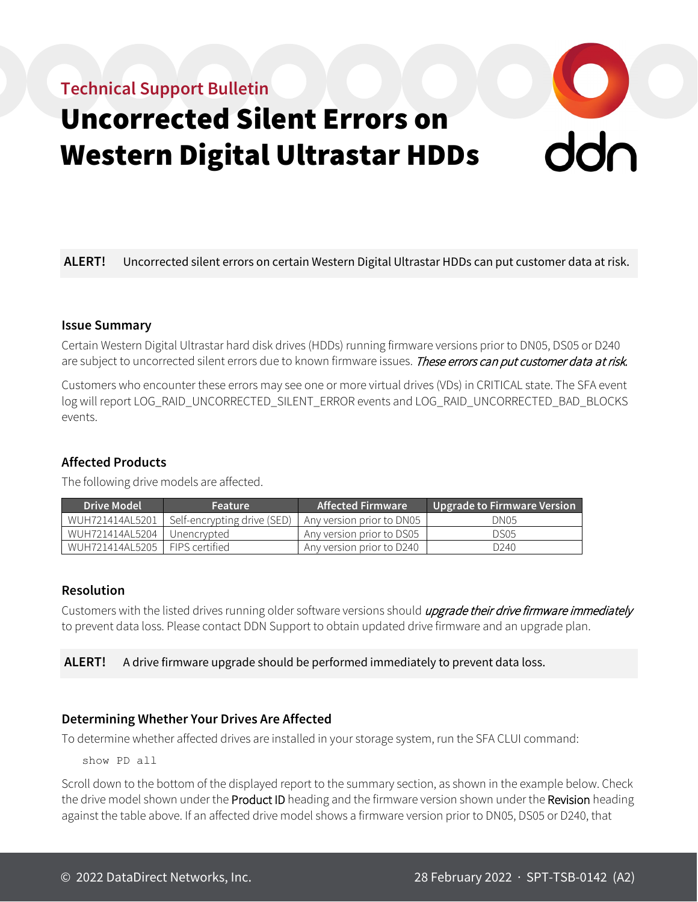## **Technical Support Bulletin**



# Uncorrected Silent Errors on Western Digital Ultrastar HDDs

**ALERT!** Uncorrected silent errors on certain Western Digital Ultrastar HDDs can put customer data at risk.

#### **Issue Summary**

Certain Western Digital Ultrastar hard disk drives (HDDs) running firmware versions prior to DN05, DS05 or D240 are subject to uncorrected silent errors due to known firmware issues. These errors can put customer data at risk.

Customers who encounter these errors may see one or more virtual drives (VDs) in CRITICAL state. The SFA event log will report LOG\_RAID\_UNCORRECTED\_SILENT\_ERROR events and LOG\_RAID\_UNCORRECTED\_BAD\_BLOCKS events.

#### **Affected Products**

The following drive models are affected.

| <b>Drive Model</b> | <b>Feature</b>                                          | Affected Firmware <b>T</b> | Upgrade to Firmware Version |
|--------------------|---------------------------------------------------------|----------------------------|-----------------------------|
| WUH721414AL5201    | Self-encrypting drive (SED)   Any version prior to DN05 |                            | DN <sub>05</sub>            |
| WUH721414AL5204    | Unencrypted                                             | Any version prior to DS05  | DS <sub>05</sub>            |
| WUH721414AL5205 I  | <b>FIPS</b> certified                                   | Any version prior to D240  | D <sub>240</sub>            |

#### **Resolution**

Customers with the listed drives running older software versions should *upgrade their drive firmware immediately* to prevent data loss. Please contact DDN Support to obtain updated drive firmware and an upgrade plan.

#### **ALERT!** A drive firmware upgrade should be performed immediately to prevent data loss.

#### **Determining Whether Your Drives Are Affected**

To determine whether affected drives are installed in your storage system, run the SFA CLUI command:

show PD all

Scroll down to the bottom of the displayed report to the summary section, as shown in the example below. Check the drive model shown under the Product ID heading and the firmware version shown under the Revision heading against the table above. If an affected drive model shows a firmware version prior to DN05, DS05 or D240, that